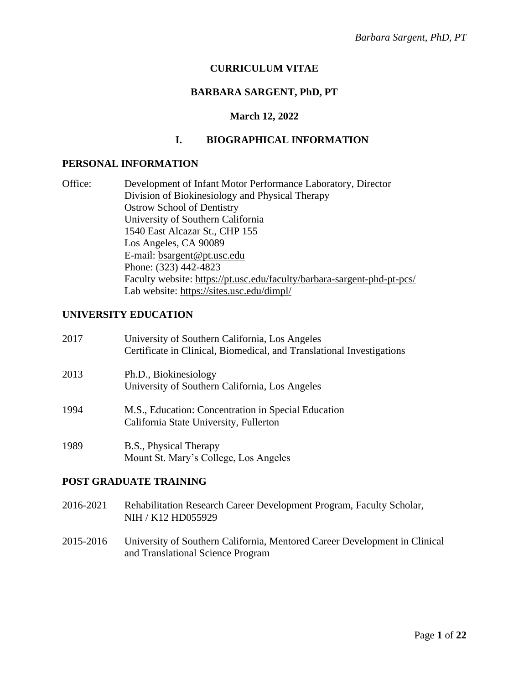# **CURRICULUM VITAE**

# **BARBARA SARGENT, PhD, PT**

#### **March 12, 2022**

## **I. BIOGRAPHICAL INFORMATION**

#### **PERSONAL INFORMATION**

| Office: | Development of Infant Motor Performance Laboratory, Director            |
|---------|-------------------------------------------------------------------------|
|         | Division of Biokinesiology and Physical Therapy                         |
|         | <b>Ostrow School of Dentistry</b>                                       |
|         | University of Southern California                                       |
|         | 1540 East Alcazar St., CHP 155                                          |
|         | Los Angeles, CA 90089                                                   |
|         | E-mail: bsargent@pt.usc.edu                                             |
|         | Phone: (323) 442-4823                                                   |
|         | Faculty website: https://pt.usc.edu/faculty/barbara-sargent-phd-pt-pcs/ |
|         | Lab website: https://sites.usc.edu/dimpl/                               |

## **UNIVERSITY EDUCATION**

| 2017 | University of Southern California, Los Angeles<br>Certificate in Clinical, Biomedical, and Translational Investigations |
|------|-------------------------------------------------------------------------------------------------------------------------|
| 2013 | Ph.D., Biokinesiology<br>University of Southern California, Los Angeles                                                 |
| 1994 | M.S., Education: Concentration in Special Education<br>California State University, Fullerton                           |
| 1989 | B.S., Physical Therapy<br>Mount St. Mary's College, Los Angeles                                                         |

#### **POST GRADUATE TRAINING**

- 2016-2021 Rehabilitation Research Career Development Program, Faculty Scholar, NIH / K12 HD055929
- 2015-2016 University of Southern California, Mentored Career Development in Clinical and Translational Science Program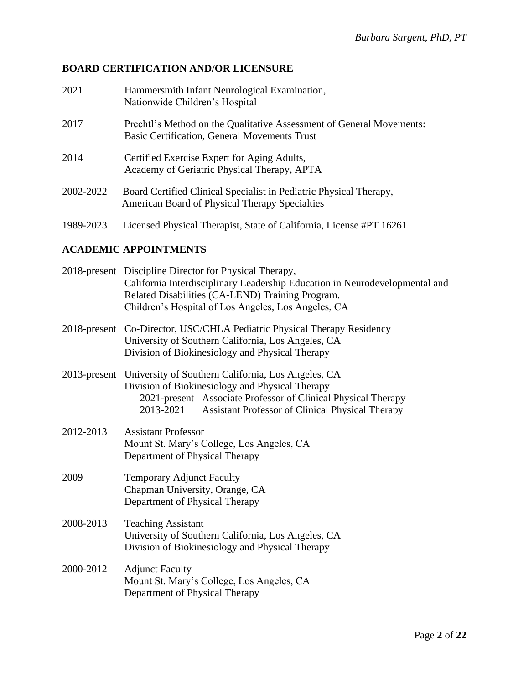# **BOARD CERTIFICATION AND/OR LICENSURE**

| 2021      | Hammersmith Infant Neurological Examination,<br>Nationwide Children's Hospital                                              |
|-----------|-----------------------------------------------------------------------------------------------------------------------------|
| 2017      | Prechtl's Method on the Qualitative Assessment of General Movements:<br><b>Basic Certification, General Movements Trust</b> |
| 2014      | Certified Exercise Expert for Aging Adults,<br>Academy of Geriatric Physical Therapy, APTA                                  |
| 2002-2022 | Board Certified Clinical Specialist in Pediatric Physical Therapy,<br>American Board of Physical Therapy Specialties        |
| 1989-2023 | Licensed Physical Therapist, State of California, License #PT 16261                                                         |

# **ACADEMIC APPOINTMENTS**

|           | 2018-present Discipline Director for Physical Therapy,<br>California Interdisciplinary Leadership Education in Neurodevelopmental and<br>Related Disabilities (CA-LEND) Training Program.<br>Children's Hospital of Los Angeles, Los Angeles, CA            |  |
|-----------|-------------------------------------------------------------------------------------------------------------------------------------------------------------------------------------------------------------------------------------------------------------|--|
|           | 2018-present Co-Director, USC/CHLA Pediatric Physical Therapy Residency<br>University of Southern California, Los Angeles, CA<br>Division of Biokinesiology and Physical Therapy                                                                            |  |
|           | 2013-present University of Southern California, Los Angeles, CA<br>Division of Biokinesiology and Physical Therapy<br>2021-present Associate Professor of Clinical Physical Therapy<br>2013-2021<br><b>Assistant Professor of Clinical Physical Therapy</b> |  |
| 2012-2013 | <b>Assistant Professor</b><br>Mount St. Mary's College, Los Angeles, CA<br>Department of Physical Therapy                                                                                                                                                   |  |
| 2009      | Temporary Adjunct Faculty<br>Chapman University, Orange, CA<br>Department of Physical Therapy                                                                                                                                                               |  |
| 2008-2013 | <b>Teaching Assistant</b><br>University of Southern California, Los Angeles, CA<br>Division of Biokinesiology and Physical Therapy                                                                                                                          |  |
| 2000-2012 | <b>Adjunct Faculty</b><br>Mount St. Mary's College, Los Angeles, CA<br>Department of Physical Therapy                                                                                                                                                       |  |
|           |                                                                                                                                                                                                                                                             |  |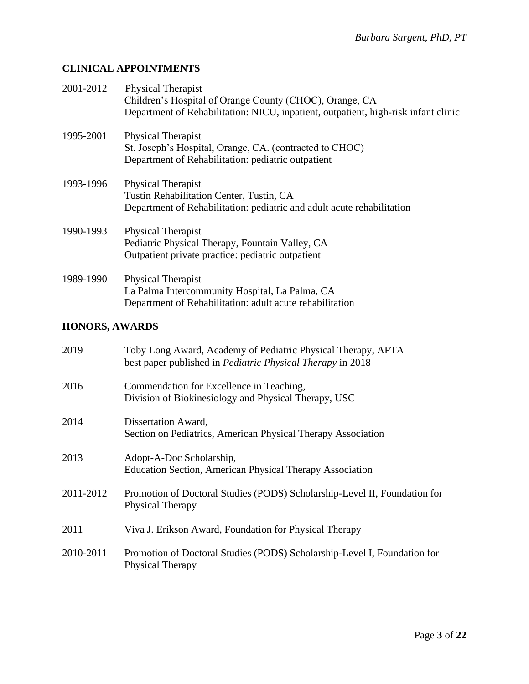# **CLINICAL APPOINTMENTS**

| 2001-2012             | <b>Physical Therapist</b><br>Children's Hospital of Orange County (CHOC), Orange, CA<br>Department of Rehabilitation: NICU, inpatient, outpatient, high-risk infant clinic |
|-----------------------|----------------------------------------------------------------------------------------------------------------------------------------------------------------------------|
| 1995-2001             | Physical Therapist<br>St. Joseph's Hospital, Orange, CA. (contracted to CHOC)<br>Department of Rehabilitation: pediatric outpatient                                        |
| 1993-1996             | <b>Physical Therapist</b><br>Tustin Rehabilitation Center, Tustin, CA<br>Department of Rehabilitation: pediatric and adult acute rehabilitation                            |
| 1990-1993             | Physical Therapist<br>Pediatric Physical Therapy, Fountain Valley, CA<br>Outpatient private practice: pediatric outpatient                                                 |
| 1989-1990             | Physical Therapist<br>La Palma Intercommunity Hospital, La Palma, CA<br>Department of Rehabilitation: adult acute rehabilitation                                           |
| <b>HONORS, AWARDS</b> |                                                                                                                                                                            |
| 2019                  | Toby Long Award, Academy of Pediatric Physical Therapy, APTA<br>best paper published in <i>Pediatric Physical Therapy</i> in 2018                                          |

| 2016 | Commendation for Excellence in Teaching,             |
|------|------------------------------------------------------|
|      | Division of Biokinesiology and Physical Therapy, USC |

| 2014 | Dissertation Award,                                          |
|------|--------------------------------------------------------------|
|      | Section on Pediatrics, American Physical Therapy Association |

```
2013 Adopt-A-Doc Scholarship,
Education Section, American Physical Therapy Association
```
- 2011-2012 Promotion of Doctoral Studies (PODS) Scholarship-Level II, Foundation for Physical Therapy
- 2011 Viva J. Erikson Award, Foundation for Physical Therapy
- 2010-2011 Promotion of Doctoral Studies (PODS) Scholarship-Level I, Foundation for Physical Therapy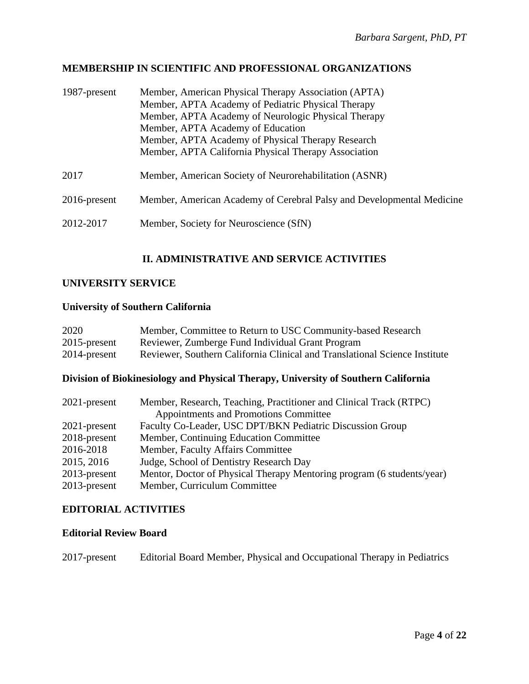# **MEMBERSHIP IN SCIENTIFIC AND PROFESSIONAL ORGANIZATIONS**

| 1987-present    | Member, American Physical Therapy Association (APTA)<br>Member, APTA Academy of Pediatric Physical Therapy<br>Member, APTA Academy of Neurologic Physical Therapy<br>Member, APTA Academy of Education<br>Member, APTA Academy of Physical Therapy Research<br>Member, APTA California Physical Therapy Association |
|-----------------|---------------------------------------------------------------------------------------------------------------------------------------------------------------------------------------------------------------------------------------------------------------------------------------------------------------------|
| 2017            | Member, American Society of Neurorehabilitation (ASNR)                                                                                                                                                                                                                                                              |
| $2016$ -present | Member, American Academy of Cerebral Palsy and Developmental Medicine                                                                                                                                                                                                                                               |
| 2012-2017       | Member, Society for Neuroscience (SfN)                                                                                                                                                                                                                                                                              |

# **II. ADMINISTRATIVE AND SERVICE ACTIVITIES**

# **UNIVERSITY SERVICE**

## **University of Southern California**

| 2020            | Member, Committee to Return to USC Community-based Research                |
|-----------------|----------------------------------------------------------------------------|
| $2015$ -present | Reviewer, Zumberge Fund Individual Grant Program                           |
| 2014-present    | Reviewer, Southern California Clinical and Translational Science Institute |

# **Division of Biokinesiology and Physical Therapy, University of Southern California**

| $2021$ -present | Member, Research, Teaching, Practitioner and Clinical Track (RTPC)     |
|-----------------|------------------------------------------------------------------------|
|                 | Appointments and Promotions Committee                                  |
| $2021$ -present | Faculty Co-Leader, USC DPT/BKN Pediatric Discussion Group              |
| 2018-present    | Member, Continuing Education Committee                                 |
| 2016-2018       | Member, Faculty Affairs Committee                                      |
| 2015, 2016      | Judge, School of Dentistry Research Day                                |
| $2013$ -present | Mentor, Doctor of Physical Therapy Mentoring program (6 students/year) |
| $2013$ -present | Member, Curriculum Committee                                           |

## **EDITORIAL ACTIVITIES**

#### **Editorial Review Board**

2017-present Editorial Board Member, Physical and Occupational Therapy in Pediatrics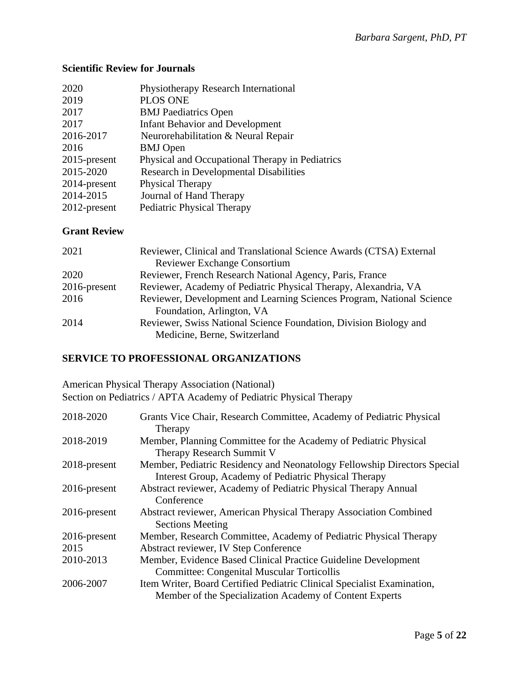# **Scientific Review for Journals**

| 2020            | Physiotherapy Research International            |
|-----------------|-------------------------------------------------|
| 2019            | <b>PLOS ONE</b>                                 |
| 2017            | <b>BMJ</b> Paediatrics Open                     |
| 2017            | <b>Infant Behavior and Development</b>          |
| 2016-2017       | Neurorehabilitation & Neural Repair             |
| 2016            | <b>BMJ</b> Open                                 |
| $2015$ -present | Physical and Occupational Therapy in Pediatrics |
| 2015-2020       | <b>Research in Developmental Disabilities</b>   |
| 2014-present    | Physical Therapy                                |
| 2014-2015       | Journal of Hand Therapy                         |
| 2012-present    | <b>Pediatric Physical Therapy</b>               |
|                 |                                                 |

## **Grant Review**

| 2021            | Reviewer, Clinical and Translational Science Awards (CTSA) External                               |
|-----------------|---------------------------------------------------------------------------------------------------|
|                 | <b>Reviewer Exchange Consortium</b>                                                               |
| 2020            | Reviewer, French Research National Agency, Paris, France                                          |
| $2016$ -present | Reviewer, Academy of Pediatric Physical Therapy, Alexandria, VA                                   |
| 2016            | Reviewer, Development and Learning Sciences Program, National Science                             |
|                 | Foundation, Arlington, VA                                                                         |
| 2014            | Reviewer, Swiss National Science Foundation, Division Biology and<br>Medicine, Berne, Switzerland |

# **SERVICE TO PROFESSIONAL ORGANIZATIONS**

American Physical Therapy Association (National) Section on Pediatrics / APTA Academy of Pediatric Physical Therapy

| 2018-2020       | Grants Vice Chair, Research Committee, Academy of Pediatric Physical<br>Therapy                                                    |
|-----------------|------------------------------------------------------------------------------------------------------------------------------------|
| 2018-2019       | Member, Planning Committee for the Academy of Pediatric Physical<br>Therapy Research Summit V                                      |
| 2018-present    | Member, Pediatric Residency and Neonatology Fellowship Directors Special<br>Interest Group, Academy of Pediatric Physical Therapy  |
| $2016$ -present | Abstract reviewer, Academy of Pediatric Physical Therapy Annual<br>Conference                                                      |
| $2016$ -present | Abstract reviewer, American Physical Therapy Association Combined                                                                  |
| $2016$ -present | <b>Sections Meeting</b><br>Member, Research Committee, Academy of Pediatric Physical Therapy                                       |
| 2015            | Abstract reviewer, IV Step Conference                                                                                              |
| 2010-2013       | Member, Evidence Based Clinical Practice Guideline Development                                                                     |
|                 | <b>Committee: Congenital Muscular Torticollis</b>                                                                                  |
| 2006-2007       | Item Writer, Board Certified Pediatric Clinical Specialist Examination,<br>Member of the Specialization Academy of Content Experts |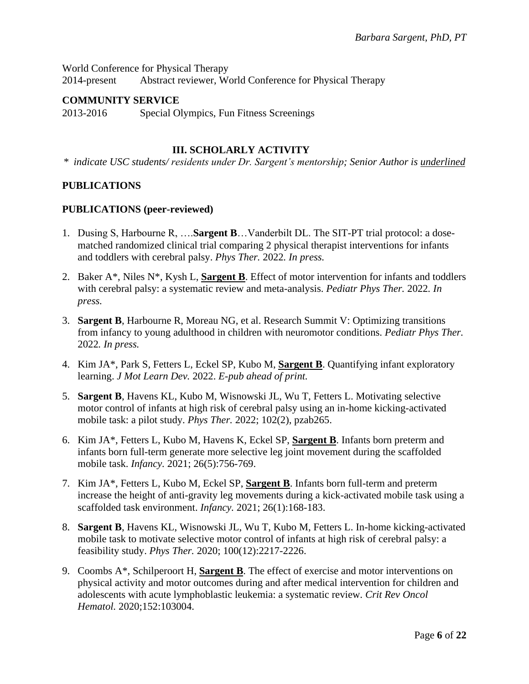World Conference for Physical Therapy 2014-present Abstract reviewer, World Conference for Physical Therapy

#### **COMMUNITY SERVICE**

2013-2016 Special Olympics, Fun Fitness Screenings

# **III. SCHOLARLY ACTIVITY**

*\* indicate USC students/ residents under Dr. Sargent's mentorship; Senior Author is underlined*

## **PUBLICATIONS**

#### **PUBLICATIONS (peer-reviewed)**

- 1. Dusing S, Harbourne R, ….**Sargent B**…Vanderbilt DL. The SIT-PT trial protocol: a dosematched randomized clinical trial comparing 2 physical therapist interventions for infants and toddlers with cerebral palsy. *Phys Ther.* 2022*. In press.*
- 2. Baker A\*, Niles N\*, Kysh L, **Sargent B**. Effect of motor intervention for infants and toddlers with cerebral palsy: a systematic review and meta-analysis. *Pediatr Phys Ther.* 2022*. In press.*
- 3. **Sargent B**, Harbourne R, Moreau NG, et al. Research Summit V: Optimizing transitions from infancy to young adulthood in children with neuromotor conditions. *Pediatr Phys Ther.*  2022*. In press.*
- 4. Kim JA\*, Park S, Fetters L, Eckel SP, Kubo M, **Sargent B**. Quantifying infant exploratory learning. *J Mot Learn Dev.* 2022. *E-pub ahead of print.*
- 5. **Sargent B**, Havens KL, Kubo M, Wisnowski JL, Wu T, Fetters L. Motivating selective motor control of infants at high risk of cerebral palsy using an in-home kicking-activated mobile task: a pilot study. *Phys Ther.* 2022; 102(2), pzab265.
- 6. Kim JA\*, Fetters L, Kubo M, Havens K, Eckel SP, **Sargent B**. Infants born preterm and infants born full-term generate more selective leg joint movement during the scaffolded mobile task. *Infancy.* 2021; 26(5):756-769.
- 7. Kim JA\*, Fetters L, Kubo M, Eckel SP, **Sargent B**. Infants born full-term and preterm increase the height of anti-gravity leg movements during a kick-activated mobile task using a scaffolded task environment. *Infancy.* 2021; 26(1):168-183.
- 8. **Sargent B**, Havens KL, Wisnowski JL, Wu T, Kubo M, Fetters L. In-home kicking-activated mobile task to motivate selective motor control of infants at high risk of cerebral palsy: a feasibility study. *Phys Ther.* 2020; 100(12):2217-2226.
- 9. Coombs A\*, Schilperoort H, **Sargent B**. The effect of exercise and motor interventions on physical activity and motor outcomes during and after medical intervention for children and adolescents with acute lymphoblastic leukemia: a systematic review. *Crit Rev Oncol Hematol.* 2020;152:103004.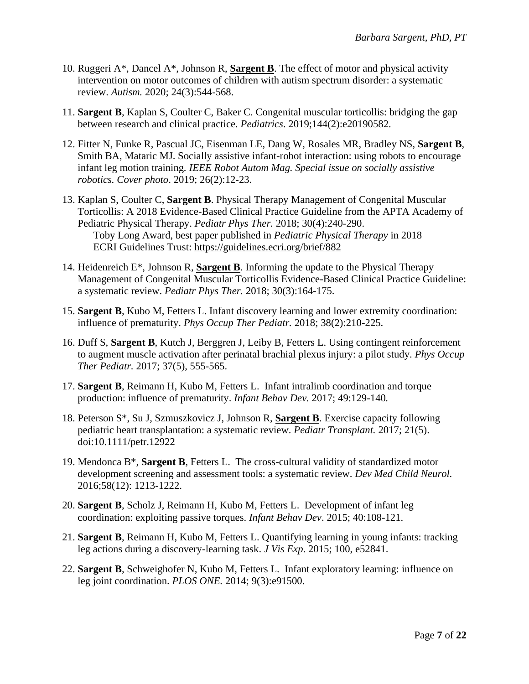- 10. Ruggeri A\*, Dancel A\*, Johnson R, **Sargent B**. The effect of motor and physical activity intervention on motor outcomes of children with autism spectrum disorder: a systematic review. *Autism.* 2020; 24(3):544-568.
- 11. **Sargent B**, Kaplan S, Coulter C, Baker C. Congenital muscular torticollis: bridging the gap between research and clinical practice. *Pediatrics*. 2019;144(2):e20190582.
- 12. Fitter N, Funke R, Pascual JC, Eisenman LE, Dang W, Rosales MR, Bradley NS, **Sargent B**, Smith BA, Mataric MJ. Socially assistive infant-robot interaction: using robots to encourage infant leg motion training*. IEEE Robot Autom Mag. Special issue on socially assistive robotics. Cover photo*. 2019; 26(2):12-23.
- 13. Kaplan S, Coulter C, **Sargent B**. Physical Therapy Management of Congenital Muscular Torticollis: A 2018 Evidence-Based Clinical Practice Guideline from the APTA Academy of Pediatric Physical Therapy. *Pediatr Phys Ther.* 2018; 30(4):240-290. Toby Long Award, best paper published in *Pediatric Physical Therapy* in 2018 ECRI Guidelines Trust:<https://guidelines.ecri.org/brief/882>
- 14. Heidenreich E\*, Johnson R, **Sargent B**. Informing the update to the Physical Therapy Management of Congenital Muscular Torticollis Evidence-Based Clinical Practice Guideline: a systematic review. *Pediatr Phys Ther.* 2018; 30(3):164-175.
- 15. **Sargent B**, Kubo M, Fetters L. Infant discovery learning and lower extremity coordination: influence of prematurity. *Phys Occup Ther Pediatr.* 2018; 38(2):210-225.
- 16. Duff S, **Sargent B**, Kutch J, Berggren J, Leiby B, Fetters L. Using contingent reinforcement to augment muscle activation after perinatal brachial plexus injury: a pilot study. *Phys Occup Ther Pediatr.* 2017; 37(5), 555-565.
- 17. **Sargent B**, Reimann H, Kubo M, Fetters L. Infant intralimb coordination and torque production: influence of prematurity. *Infant Behav Dev.* 2017; 49:129-140*.*
- 18. Peterson S\*, Su J, Szmuszkovicz J, Johnson R, **Sargent B**. Exercise capacity following pediatric heart transplantation: a systematic review. *Pediatr Transplant.* 2017; 21(5). doi:10.1111/petr.12922
- 19. Mendonca B\*, **Sargent B**, Fetters L. The cross-cultural validity of standardized motor development screening and assessment tools: a systematic review. *Dev Med Child Neurol.*  2016;58(12): 1213-1222.
- 20. **Sargent B**, Scholz J, Reimann H, Kubo M, Fetters L. Development of infant leg coordination: exploiting passive torques. *Infant Behav Dev*. 2015; 40:108-121.
- 21. **Sargent B**, Reimann H, Kubo M, Fetters L. Quantifying learning in young infants: tracking leg actions during a discovery-learning task. *J Vis Exp*. 2015; 100, e52841.
- 22. **Sargent B**, Schweighofer N, Kubo M, Fetters L. Infant exploratory learning: influence on leg joint coordination. *PLOS ONE.* 2014; 9(3):e91500.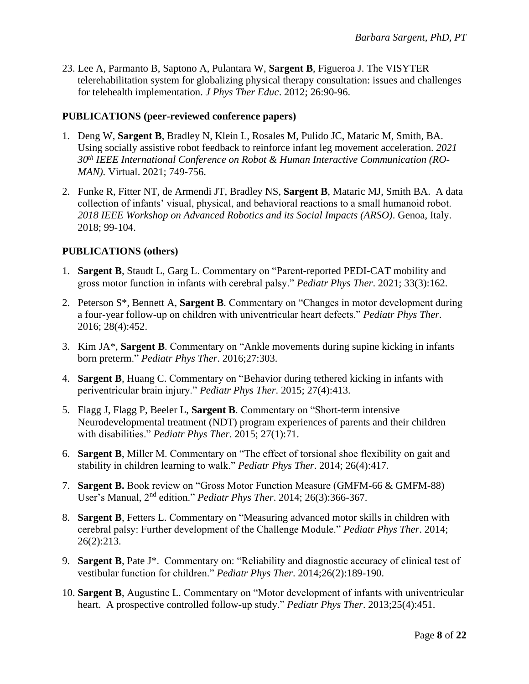23. Lee A, Parmanto B, Saptono A, Pulantara W, **Sargent B**, Figueroa J. The VISYTER telerehabilitation system for globalizing physical therapy consultation: issues and challenges for telehealth implementation. *J Phys Ther Educ*. 2012; 26:90-96.

## **PUBLICATIONS (peer-reviewed conference papers)**

- 1. Deng W, **Sargent B**, Bradley N, Klein L, Rosales M, Pulido JC, Mataric M, Smith, BA. Using socially assistive robot feedback to reinforce infant leg movement acceleration. *2021 30th IEEE International Conference on Robot & Human Interactive Communication (RO-MAN).* Virtual. 2021; 749-756.
- 2. Funke R, Fitter NT, de Armendi JT, Bradley NS, **Sargent B**, Mataric MJ, Smith BA. A data collection of infants' visual, physical, and behavioral reactions to a small humanoid robot. *2018 IEEE Workshop on Advanced Robotics and its Social Impacts (ARSO)*. Genoa, Italy. 2018; 99-104.

# **PUBLICATIONS (others)**

- 1. **Sargent B**, Staudt L, Garg L. Commentary on "Parent-reported PEDI-CAT mobility and gross motor function in infants with cerebral palsy." *Pediatr Phys Ther*. 2021; 33(3):162.
- 2. Peterson S\*, Bennett A, **Sargent B**. Commentary on "Changes in motor development during a four-year follow-up on children with univentricular heart defects." *Pediatr Phys Ther*. 2016; 28(4):452.
- 3. Kim JA\*, **Sargent B**. Commentary on "Ankle movements during supine kicking in infants born preterm." *Pediatr Phys Ther*. 2016;27:303.
- 4. **Sargent B**, Huang C. Commentary on "Behavior during tethered kicking in infants with periventricular brain injury." *Pediatr Phys Ther*. 2015; 27(4):413.
- 5. Flagg J, Flagg P, Beeler L, **Sargent B**. Commentary on "Short-term intensive Neurodevelopmental treatment (NDT) program experiences of parents and their children with disabilities." *Pediatr Phys Ther*. 2015; 27(1):71.
- 6. **Sargent B**, Miller M. Commentary on "The effect of torsional shoe flexibility on gait and stability in children learning to walk." *Pediatr Phys Ther*. 2014; 26(4):417.
- 7. **Sargent B.** Book review on "Gross Motor Function Measure (GMFM-66 & GMFM-88) User's Manual, 2nd edition." *Pediatr Phys Ther*. 2014; 26(3):366-367.
- 8. **Sargent B**, Fetters L. Commentary on "Measuring advanced motor skills in children with cerebral palsy: Further development of the Challenge Module." *Pediatr Phys Ther*. 2014; 26(2):213.
- 9. **Sargent B**, Pate J\*. Commentary on: "Reliability and diagnostic accuracy of clinical test of vestibular function for children." *Pediatr Phys Ther*. 2014;26(2):189-190.
- 10. **Sargent B**, Augustine L. Commentary on "Motor development of infants with univentricular heart. A prospective controlled follow-up study." *Pediatr Phys Ther*. 2013;25(4):451.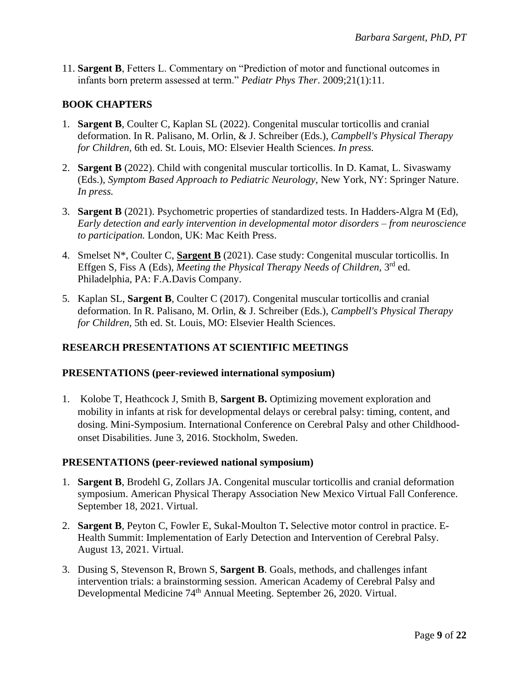11. **Sargent B**, Fetters L. Commentary on "Prediction of motor and functional outcomes in infants born preterm assessed at term." *Pediatr Phys Ther*. 2009;21(1):11.

# **BOOK CHAPTERS**

- 1. **Sargent B**, Coulter C, Kaplan SL (2022). Congenital muscular torticollis and cranial deformation. In R. Palisano, M. Orlin, & J. Schreiber (Eds.), *Campbell's Physical Therapy for Children,* 6th ed. St. Louis, MO: Elsevier Health Sciences. *In press.*
- 2. **Sargent B** (2022). Child with congenital muscular torticollis. In D. Kamat, L. Sivaswamy (Eds.), *Symptom Based Approach to Pediatric Neurology,* New York, NY: Springer Nature. *In press.*
- 3. **Sargent B** (2021). Psychometric properties of standardized tests. In Hadders-Algra M (Ed), *Early detection and early intervention in developmental motor disorders – from neuroscience to participation.* London, UK: Mac Keith Press.
- 4. Smelset N\*, Coulter C, **Sargent B** (2021). Case study: Congenital muscular torticollis. In Effgen S, Fiss A (Eds), *Meeting the Physical Therapy Needs of Children*, 3<sup>rd</sup> ed. Philadelphia, PA: F.A.Davis Company.
- 5. Kaplan SL, **Sargent B**, Coulter C (2017). Congenital muscular torticollis and cranial deformation. In R. Palisano, M. Orlin, & J. Schreiber (Eds.), *Campbell's Physical Therapy for Children,* 5th ed. St. Louis, MO: Elsevier Health Sciences.

# **RESEARCH PRESENTATIONS AT SCIENTIFIC MEETINGS**

# **PRESENTATIONS (peer-reviewed international symposium)**

1. Kolobe T, Heathcock J, Smith B, **Sargent B.** Optimizing movement exploration and mobility in infants at risk for developmental delays or cerebral palsy: timing, content, and dosing. Mini-Symposium. International Conference on Cerebral Palsy and other Childhoodonset Disabilities. June 3, 2016. Stockholm, Sweden.

#### **PRESENTATIONS (peer-reviewed national symposium)**

- 1. **Sargent B**, Brodehl G, Zollars JA. Congenital muscular torticollis and cranial deformation symposium. American Physical Therapy Association New Mexico Virtual Fall Conference. September 18, 2021. Virtual.
- 2. **Sargent B**, Peyton C, Fowler E, Sukal-Moulton T**.** Selective motor control in practice. E-Health Summit: Implementation of Early Detection and Intervention of Cerebral Palsy. August 13, 2021. Virtual.
- 3. Dusing S, Stevenson R, Brown S, **Sargent B**. Goals, methods, and challenges infant intervention trials: a brainstorming session. American Academy of Cerebral Palsy and Developmental Medicine 74<sup>th</sup> Annual Meeting. September 26, 2020. Virtual.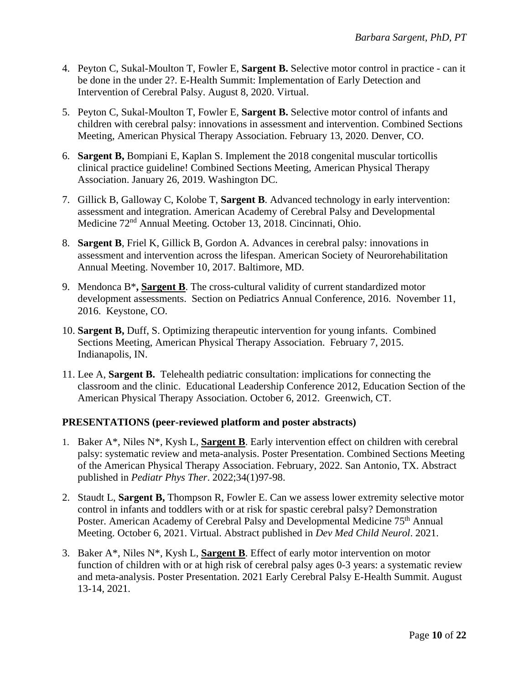- 4. Peyton C, Sukal-Moulton T, Fowler E, **Sargent B.** Selective motor control in practice can it be done in the under 2?. E-Health Summit: Implementation of Early Detection and Intervention of Cerebral Palsy. August 8, 2020. Virtual.
- 5. Peyton C, Sukal-Moulton T, Fowler E, **Sargent B.** Selective motor control of infants and children with cerebral palsy: innovations in assessment and intervention. Combined Sections Meeting, American Physical Therapy Association. February 13, 2020. Denver, CO.
- 6. **Sargent B,** Bompiani E, Kaplan S. Implement the 2018 congenital muscular torticollis clinical practice guideline! Combined Sections Meeting, American Physical Therapy Association. January 26, 2019. Washington DC.
- 7. Gillick B, Galloway C, Kolobe T, **Sargent B**. Advanced technology in early intervention: assessment and integration. American Academy of Cerebral Palsy and Developmental Medicine 72nd Annual Meeting. October 13, 2018. Cincinnati, Ohio.
- 8. **Sargent B**, Friel K, Gillick B, Gordon A*.* Advances in cerebral palsy: innovations in assessment and intervention across the lifespan. American Society of Neurorehabilitation Annual Meeting. November 10, 2017. Baltimore, MD.
- 9. Mendonca B\***, Sargent B**. The cross-cultural validity of current standardized motor development assessments. Section on Pediatrics Annual Conference, 2016. November 11, 2016. Keystone, CO.
- 10. **Sargent B,** Duff, S. Optimizing therapeutic intervention for young infants. Combined Sections Meeting, American Physical Therapy Association. February 7, 2015. Indianapolis, IN.
- 11. Lee A, **Sargent B.** Telehealth pediatric consultation: implications for connecting the classroom and the clinic. Educational Leadership Conference 2012, Education Section of the American Physical Therapy Association. October 6, 2012. Greenwich, CT.

# **PRESENTATIONS (peer-reviewed platform and poster abstracts)**

- 1. Baker A\*, Niles N\*, Kysh L, **Sargent B**. Early intervention effect on children with cerebral palsy: systematic review and meta-analysis. Poster Presentation. Combined Sections Meeting of the American Physical Therapy Association. February, 2022. San Antonio, TX. Abstract published in *Pediatr Phys Ther*. 2022;34(1)97-98.
- 2. Staudt L, **Sargent B,** Thompson R, Fowler E. Can we assess lower extremity selective motor control in infants and toddlers with or at risk for spastic cerebral palsy? Demonstration Poster. American Academy of Cerebral Palsy and Developmental Medicine 75<sup>th</sup> Annual Meeting. October 6, 2021. Virtual. Abstract published in *Dev Med Child Neurol*. 2021.
- 3. Baker A\*, Niles N\*, Kysh L, **Sargent B**. Effect of early motor intervention on motor function of children with or at high risk of cerebral palsy ages 0-3 years: a systematic review and meta-analysis. Poster Presentation. 2021 Early Cerebral Palsy E-Health Summit. August 13-14, 2021.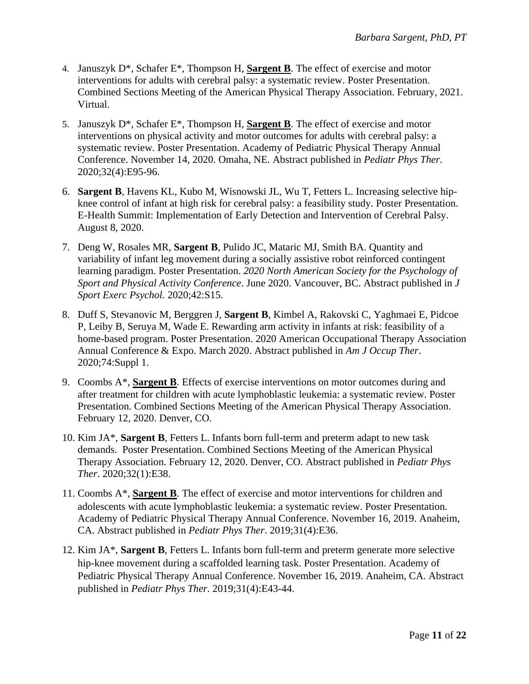- 4. Januszyk D\*, Schafer E\*, Thompson H, **Sargent B**. The effect of exercise and motor interventions for adults with cerebral palsy: a systematic review. Poster Presentation. Combined Sections Meeting of the American Physical Therapy Association. February, 2021. Virtual.
- 5. Januszyk D\*, Schafer E\*, Thompson H, **Sargent B**. The effect of exercise and motor interventions on physical activity and motor outcomes for adults with cerebral palsy: a systematic review. Poster Presentation. Academy of Pediatric Physical Therapy Annual Conference. November 14, 2020. Omaha, NE. Abstract published in *Pediatr Phys Ther*. 2020;32(4):E95-96.
- 6. **Sargent B**, Havens KL, Kubo M, Wisnowski JL, Wu T, Fetters L. Increasing selective hipknee control of infant at high risk for cerebral palsy: a feasibility study. Poster Presentation. E-Health Summit: Implementation of Early Detection and Intervention of Cerebral Palsy. August 8, 2020.
- 7. Deng W, Rosales MR, **Sargent B**, Pulido JC, Mataric MJ, Smith BA. Quantity and variability of infant leg movement during a socially assistive robot reinforced contingent learning paradigm. Poster Presentation. *2020 North American Society for the Psychology of Sport and Physical Activity Conference*. June 2020. Vancouver, BC. Abstract published in *J Sport Exerc Psychol.* 2020;42:S15.
- 8. Duff S, Stevanovic M, Berggren J, **Sargent B**, Kimbel A, Rakovski C, Yaghmaei E, Pidcoe P, Leiby B, Seruya M, Wade E. Rewarding arm activity in infants at risk: feasibility of a home-based program. Poster Presentation. 2020 American Occupational Therapy Association Annual Conference & Expo. March 2020. Abstract published in *Am J Occup Ther*. 2020;74:Suppl 1.
- 9. Coombs A\*, **Sargent B**. Effects of exercise interventions on motor outcomes during and after treatment for children with acute lymphoblastic leukemia: a systematic review. Poster Presentation. Combined Sections Meeting of the American Physical Therapy Association. February 12, 2020. Denver, CO.
- 10. Kim JA\*, **Sargent B**, Fetters L. Infants born full-term and preterm adapt to new task demands. Poster Presentation. Combined Sections Meeting of the American Physical Therapy Association. February 12, 2020. Denver, CO. Abstract published in *Pediatr Phys Ther*. 2020;32(1):E38.
- 11. Coombs A\*, **Sargent B**. The effect of exercise and motor interventions for children and adolescents with acute lymphoblastic leukemia: a systematic review. Poster Presentation. Academy of Pediatric Physical Therapy Annual Conference. November 16, 2019. Anaheim, CA. Abstract published in *Pediatr Phys Ther*. 2019;31(4):E36.
- 12. Kim JA\*, **Sargent B**, Fetters L. Infants born full-term and preterm generate more selective hip-knee movement during a scaffolded learning task. Poster Presentation. Academy of Pediatric Physical Therapy Annual Conference. November 16, 2019. Anaheim, CA. Abstract published in *Pediatr Phys Ther*. 2019;31(4):E43-44.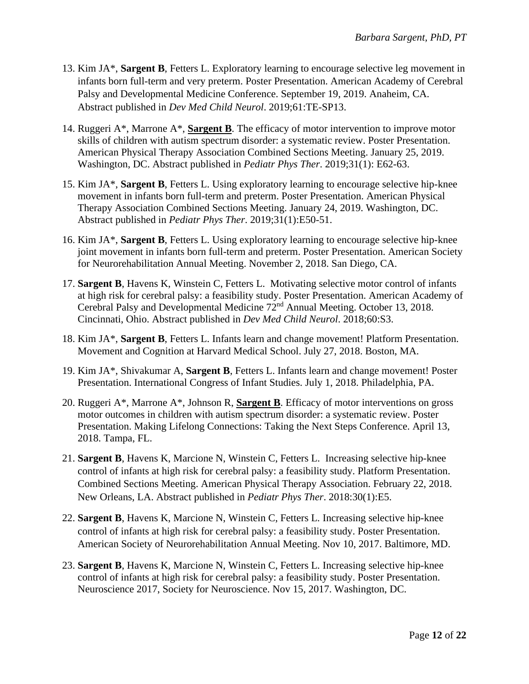- 13. Kim JA\*, **Sargent B**, Fetters L. Exploratory learning to encourage selective leg movement in infants born full-term and very preterm. Poster Presentation. American Academy of Cerebral Palsy and Developmental Medicine Conference. September 19, 2019. Anaheim, CA. Abstract published in *Dev Med Child Neurol*. 2019;61:TE-SP13.
- 14. Ruggeri A\*, Marrone A\*, **Sargent B**. The efficacy of motor intervention to improve motor skills of children with autism spectrum disorder: a systematic review. Poster Presentation. American Physical Therapy Association Combined Sections Meeting. January 25, 2019. Washington, DC. Abstract published in *Pediatr Phys Ther*. 2019;31(1): E62-63.
- 15. Kim JA\*, **Sargent B**, Fetters L. Using exploratory learning to encourage selective hip-knee movement in infants born full-term and preterm. Poster Presentation. American Physical Therapy Association Combined Sections Meeting. January 24, 2019. Washington, DC. Abstract published in *Pediatr Phys Ther*. 2019;31(1):E50-51.
- 16. Kim JA\*, **Sargent B**, Fetters L. Using exploratory learning to encourage selective hip-knee joint movement in infants born full-term and preterm. Poster Presentation. American Society for Neurorehabilitation Annual Meeting. November 2, 2018. San Diego, CA.
- 17. **Sargent B**, Havens K, Winstein C, Fetters L. Motivating selective motor control of infants at high risk for cerebral palsy: a feasibility study. Poster Presentation. American Academy of Cerebral Palsy and Developmental Medicine 72<sup>nd</sup> Annual Meeting. October 13, 2018. Cincinnati, Ohio. Abstract published in *Dev Med Child Neurol*. 2018;60:S3.
- 18. Kim JA\*, **Sargent B**, Fetters L. Infants learn and change movement! Platform Presentation. Movement and Cognition at Harvard Medical School. July 27, 2018. Boston, MA.
- 19. Kim JA\*, Shivakumar A, **Sargent B**, Fetters L. Infants learn and change movement! Poster Presentation. International Congress of Infant Studies. July 1, 2018. Philadelphia, PA.
- 20. Ruggeri A\*, Marrone A\*, Johnson R, **Sargent B**. Efficacy of motor interventions on gross motor outcomes in children with autism spectrum disorder: a systematic review. Poster Presentation. Making Lifelong Connections: Taking the Next Steps Conference. April 13, 2018. Tampa, FL.
- 21. **Sargent B**, Havens K, Marcione N, Winstein C, Fetters L. Increasing selective hip-knee control of infants at high risk for cerebral palsy: a feasibility study. Platform Presentation. Combined Sections Meeting. American Physical Therapy Association. February 22, 2018. New Orleans, LA. Abstract published in *Pediatr Phys Ther*. 2018:30(1):E5.
- 22. **Sargent B**, Havens K, Marcione N, Winstein C, Fetters L*.* Increasing selective hip-knee control of infants at high risk for cerebral palsy: a feasibility study. Poster Presentation. American Society of Neurorehabilitation Annual Meeting. Nov 10, 2017. Baltimore, MD.
- 23. **Sargent B**, Havens K, Marcione N, Winstein C, Fetters L*.* Increasing selective hip-knee control of infants at high risk for cerebral palsy: a feasibility study. Poster Presentation. Neuroscience 2017, Society for Neuroscience. Nov 15, 2017. Washington, DC.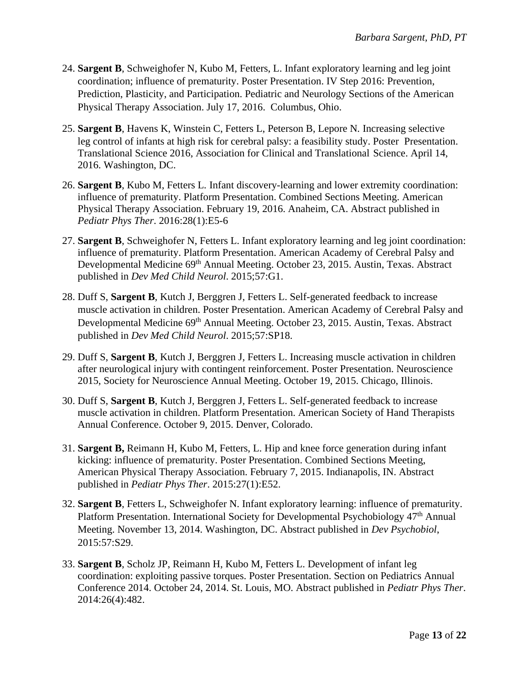- 24. **Sargent B**, Schweighofer N, Kubo M, Fetters, L. Infant exploratory learning and leg joint coordination; influence of prematurity. Poster Presentation. IV Step 2016: Prevention, Prediction, Plasticity, and Participation. Pediatric and Neurology Sections of the American Physical Therapy Association. July 17, 2016. Columbus, Ohio.
- 25. **Sargent B**, Havens K, Winstein C, Fetters L, Peterson B, Lepore N*.* Increasing selective leg control of infants at high risk for cerebral palsy: a feasibility study. Poster Presentation. Translational Science 2016, Association for Clinical and Translational Science. April 14, 2016. Washington, DC.
- 26. **Sargent B**, Kubo M, Fetters L*.* Infant discovery-learning and lower extremity coordination: influence of prematurity. Platform Presentation. Combined Sections Meeting. American Physical Therapy Association. February 19, 2016. Anaheim, CA. Abstract published in *Pediatr Phys Ther*. 2016:28(1):E5-6
- 27. **Sargent B**, Schweighofer N, Fetters L. Infant exploratory learning and leg joint coordination: influence of prematurity. Platform Presentation. American Academy of Cerebral Palsy and Developmental Medicine 69<sup>th</sup> Annual Meeting. October 23, 2015. Austin, Texas. Abstract published in *Dev Med Child Neurol*. 2015;57:G1.
- 28. Duff S, **Sargent B**, Kutch J, Berggren J, Fetters L. Self-generated feedback to increase muscle activation in children. Poster Presentation. American Academy of Cerebral Palsy and Developmental Medicine 69<sup>th</sup> Annual Meeting. October 23, 2015. Austin, Texas. Abstract published in *Dev Med Child Neurol*. 2015;57:SP18.
- 29. Duff S, **Sargent B**, Kutch J, Berggren J, Fetters L. Increasing muscle activation in children after neurological injury with contingent reinforcement. Poster Presentation. Neuroscience 2015, Society for Neuroscience Annual Meeting. October 19, 2015. Chicago, Illinois.
- 30. Duff S, **Sargent B**, Kutch J, Berggren J, Fetters L. Self-generated feedback to increase muscle activation in children. Platform Presentation. American Society of Hand Therapists Annual Conference. October 9, 2015. Denver, Colorado.
- 31. **Sargent B,** Reimann H, Kubo M, Fetters, L. Hip and knee force generation during infant kicking: influence of prematurity. Poster Presentation. Combined Sections Meeting, American Physical Therapy Association. February 7, 2015. Indianapolis, IN. Abstract published in *Pediatr Phys Ther*. 2015:27(1):E52.
- 32. **Sargent B**, Fetters L, Schweighofer N. Infant exploratory learning: influence of prematurity. Platform Presentation. International Society for Developmental Psychobiology 47<sup>th</sup> Annual Meeting. November 13, 2014. Washington, DC. Abstract published in *Dev Psychobiol*, 2015:57:S29.
- 33. **Sargent B**, Scholz JP, Reimann H, Kubo M, Fetters L. Development of infant leg coordination: exploiting passive torques. Poster Presentation. Section on Pediatrics Annual Conference 2014. October 24, 2014. St. Louis, MO. Abstract published in *Pediatr Phys Ther*. 2014:26(4):482.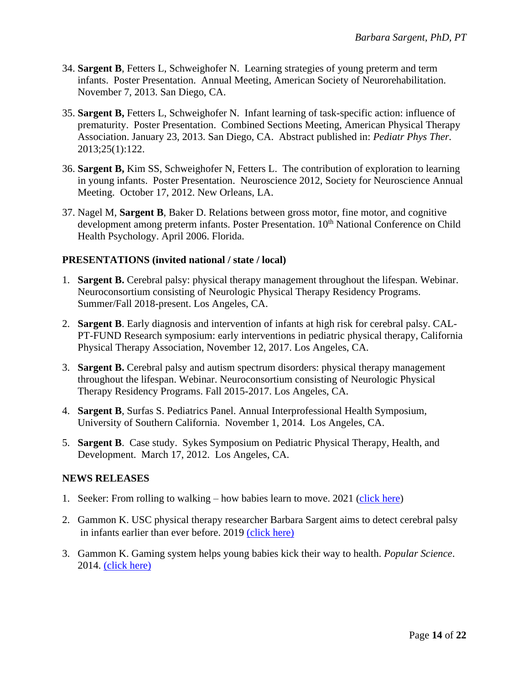- 34. **Sargent B**, Fetters L, Schweighofer N. Learning strategies of young preterm and term infants. Poster Presentation. Annual Meeting, American Society of Neurorehabilitation. November 7, 2013. San Diego, CA.
- 35. **Sargent B,** Fetters L, Schweighofer N. Infant learning of task-specific action: influence of prematurity. Poster Presentation. Combined Sections Meeting, American Physical Therapy Association. January 23, 2013. San Diego, CA. Abstract published in: *Pediatr Phys Ther.* 2013;25(1):122.
- 36. **Sargent B,** Kim SS, Schweighofer N, Fetters L. The contribution of exploration to learning in young infants. Poster Presentation. Neuroscience 2012, Society for Neuroscience Annual Meeting. October 17, 2012. New Orleans, LA.
- 37. Nagel M, **Sargent B**, Baker D. Relations between gross motor, fine motor, and cognitive development among preterm infants. Poster Presentation. 10<sup>th</sup> National Conference on Child Health Psychology. April 2006. Florida.

## **PRESENTATIONS (invited national / state / local)**

- 1. **Sargent B.** Cerebral palsy: physical therapy management throughout the lifespan. Webinar. Neuroconsortium consisting of Neurologic Physical Therapy Residency Programs. Summer/Fall 2018-present. Los Angeles, CA.
- 2. **Sargent B**. Early diagnosis and intervention of infants at high risk for cerebral palsy. CAL-PT-FUND Research symposium: early interventions in pediatric physical therapy, California Physical Therapy Association, November 12, 2017. Los Angeles, CA.
- 3. **Sargent B.** Cerebral palsy and autism spectrum disorders: physical therapy management throughout the lifespan. Webinar. Neuroconsortium consisting of Neurologic Physical Therapy Residency Programs. Fall 2015-2017. Los Angeles, CA.
- 4. **Sargent B**, Surfas S. Pediatrics Panel. Annual Interprofessional Health Symposium, University of Southern California. November 1, 2014. Los Angeles, CA.
- 5. **Sargent B**. Case study. Sykes Symposium on Pediatric Physical Therapy, Health, and Development. March 17, 2012. Los Angeles, CA.

#### **NEWS RELEASES**

- 1. Seeker: From rolling to walking how babies learn to move. 2021 [\(click here\)](https://www.seeker.com/videos/health/from-rolling-to-walking-how-babies-learn-to-move)
- 2. Gammon K. USC physical therapy researcher Barbara Sargent aims to detect cerebral palsy in infants earlier than ever before. 2019 [\(click here\)](https://pt.usc.edu/2019/02/19/usc-physical-therapy-researcher-barbara-sargent-is-interested-in-learning-more-about-how-to-detect-cerebral-palsy-in-infants-and-provide-early-intervention/)
- 3. Gammon K. Gaming system helps young babies kick their way to health. *Popular Science*. 2014. [\(click here\)](https://www.popsci.com/blog-network/kinderlab/gaming-system-helps-young-babies-kick-their-way-health/)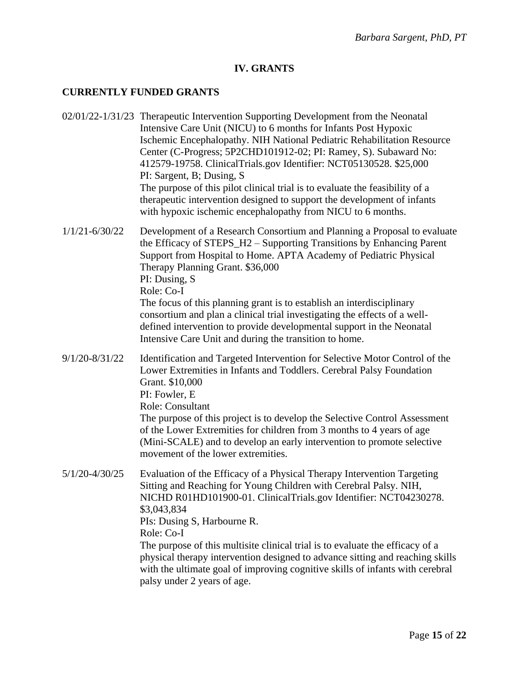## **IV. GRANTS**

#### **CURRENTLY FUNDED GRANTS**

- 02/01/22-1/31/23 Therapeutic Intervention Supporting Development from the Neonatal Intensive Care Unit (NICU) to 6 months for Infants Post Hypoxic Ischemic Encephalopathy. NIH National Pediatric Rehabilitation Resource Center (C-Progress; 5P2CHD101912-02; PI: Ramey, S). Subaward No: 412579-19758. ClinicalTrials.gov Identifier: NCT05130528. \$25,000 PI: Sargent, B; Dusing, S The purpose of this pilot clinical trial is to evaluate the feasibility of a therapeutic intervention designed to support the development of infants with hypoxic ischemic encephalopathy from NICU to 6 months.
- 1/1/21-6/30/22 Development of a Research Consortium and Planning a Proposal to evaluate the Efficacy of STEPS\_H2 – Supporting Transitions by Enhancing Parent Support from Hospital to Home. APTA Academy of Pediatric Physical Therapy Planning Grant. \$36,000 PI: Dusing, S Role: Co-I The focus of this planning grant is to establish an interdisciplinary consortium and plan a clinical trial investigating the effects of a welldefined intervention to provide developmental support in the Neonatal
- 9/1/20-8/31/22 Identification and Targeted Intervention for Selective Motor Control of the Lower Extremities in Infants and Toddlers. Cerebral Palsy Foundation Grant. \$10,000 PI: Fowler, E Role: Consultant The purpose of this project is to develop the Selective Control Assessment of the Lower Extremities for children from 3 months to 4 years of age (Mini-SCALE) and to develop an early intervention to promote selective movement of the lower extremities.

Intensive Care Unit and during the transition to home.

5/1/20-4/30/25 Evaluation of the Efficacy of a Physical Therapy Intervention Targeting Sitting and Reaching for Young Children with Cerebral Palsy. NIH, NICHD R01HD101900-01. ClinicalTrials.gov Identifier: NCT04230278. \$3,043,834 PIs: Dusing S, Harbourne R. Role: Co-I The purpose of this multisite clinical trial is to evaluate the efficacy of a physical therapy intervention designed to advance sitting and reaching skills with the ultimate goal of improving cognitive skills of infants with cerebral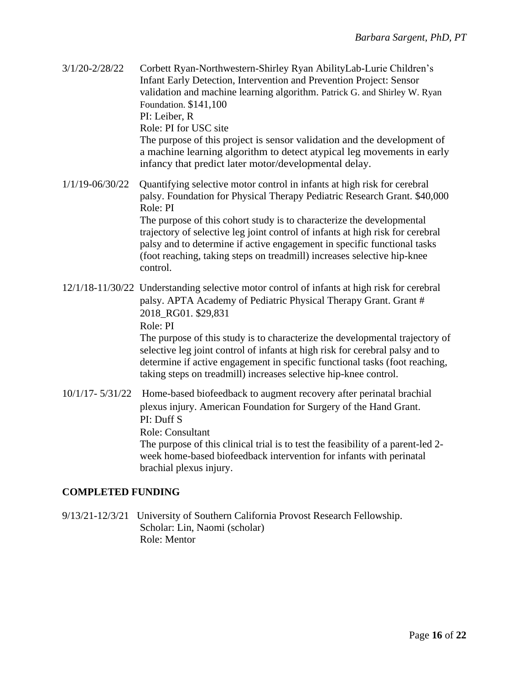| $3/1/20 - 2/28/22$       | Corbett Ryan-Northwestern-Shirley Ryan AbilityLab-Lurie Children's<br>Infant Early Detection, Intervention and Prevention Project: Sensor<br>validation and machine learning algorithm. Patrick G. and Shirley W. Ryan<br>Foundation. \$141,100<br>PI: Leiber, R<br>Role: PI for USC site<br>The purpose of this project is sensor validation and the development of<br>a machine learning algorithm to detect atypical leg movements in early<br>infancy that predict later motor/developmental delay. |
|--------------------------|---------------------------------------------------------------------------------------------------------------------------------------------------------------------------------------------------------------------------------------------------------------------------------------------------------------------------------------------------------------------------------------------------------------------------------------------------------------------------------------------------------|
| 1/1/19-06/30/22          | Quantifying selective motor control in infants at high risk for cerebral<br>palsy. Foundation for Physical Therapy Pediatric Research Grant. \$40,000<br>Role: PI<br>The purpose of this cohort study is to characterize the developmental<br>trajectory of selective leg joint control of infants at high risk for cerebral<br>palsy and to determine if active engagement in specific functional tasks<br>(foot reaching, taking steps on treadmill) increases selective hip-knee<br>control.         |
|                          | 12/1/18-11/30/22 Understanding selective motor control of infants at high risk for cerebral<br>palsy. APTA Academy of Pediatric Physical Therapy Grant. Grant #<br>2018_RG01. \$29,831<br>Role: PI<br>The purpose of this study is to characterize the developmental trajectory of<br>selective leg joint control of infants at high risk for cerebral palsy and to<br>determine if active engagement in specific functional tasks (foot reaching,                                                      |
| $10/1/17 - 5/31/22$      | taking steps on treadmill) increases selective hip-knee control.<br>Home-based biofeedback to augment recovery after perinatal brachial<br>plexus injury. American Foundation for Surgery of the Hand Grant.<br>PI: Duff S<br><b>Role: Consultant</b><br>The purpose of this clinical trial is to test the feasibility of a parent-led 2-<br>week home-based biofeedback intervention for infants with perinatal<br>brachial plexus injury.                                                             |
| <b>COMPLETED FUNDING</b> |                                                                                                                                                                                                                                                                                                                                                                                                                                                                                                         |

 9/13/21-12/3/21 University of Southern California Provost Research Fellowship. Scholar: Lin, Naomi (scholar) Role: Mentor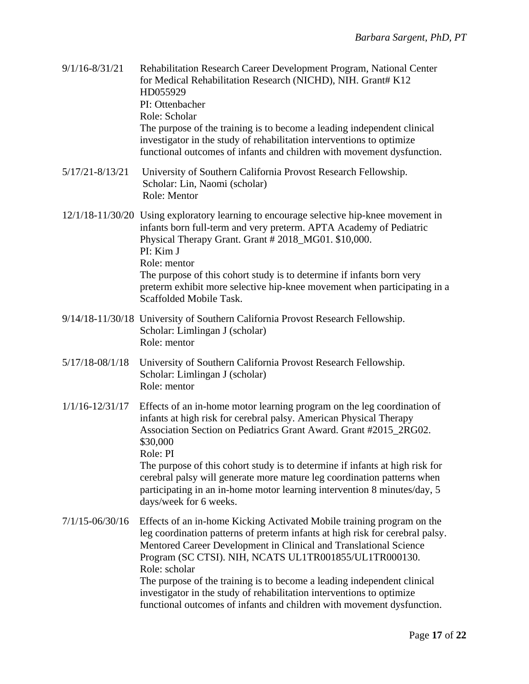| $9/1/16 - 8/31/21$  | Rehabilitation Research Career Development Program, National Center<br>for Medical Rehabilitation Research (NICHD), NIH. Grant# K12<br>HD055929<br>PI: Ottenbacher<br>Role: Scholar<br>The purpose of the training is to become a leading independent clinical<br>investigator in the study of rehabilitation interventions to optimize<br>functional outcomes of infants and children with movement dysfunction.                                                                                                                     |
|---------------------|---------------------------------------------------------------------------------------------------------------------------------------------------------------------------------------------------------------------------------------------------------------------------------------------------------------------------------------------------------------------------------------------------------------------------------------------------------------------------------------------------------------------------------------|
| $5/17/21 - 8/13/21$ | University of Southern California Provost Research Fellowship.<br>Scholar: Lin, Naomi (scholar)<br>Role: Mentor                                                                                                                                                                                                                                                                                                                                                                                                                       |
|                     | 12/1/18-11/30/20 Using exploratory learning to encourage selective hip-knee movement in<br>infants born full-term and very preterm. APTA Academy of Pediatric<br>Physical Therapy Grant. Grant #2018_MG01. \$10,000.<br>PI: Kim J<br>Role: mentor<br>The purpose of this cohort study is to determine if infants born very<br>preterm exhibit more selective hip-knee movement when participating in a<br>Scaffolded Mobile Task.                                                                                                     |
|                     | 9/14/18-11/30/18 University of Southern California Provost Research Fellowship.<br>Scholar: Limlingan J (scholar)<br>Role: mentor                                                                                                                                                                                                                                                                                                                                                                                                     |
| $5/17/18 - 08/1/18$ | University of Southern California Provost Research Fellowship.<br>Scholar: Limlingan J (scholar)<br>Role: mentor                                                                                                                                                                                                                                                                                                                                                                                                                      |
| $1/1/16 - 12/31/17$ | Effects of an in-home motor learning program on the leg coordination of<br>infants at high risk for cerebral palsy. American Physical Therapy<br>Association Section on Pediatrics Grant Award. Grant #2015 2RG02.<br>\$30,000<br>Role: PI<br>The purpose of this cohort study is to determine if infants at high risk for<br>cerebral palsy will generate more mature leg coordination patterns when<br>participating in an in-home motor learning intervention 8 minutes/day, 5<br>days/week for 6 weeks.                           |
| $7/1/15 - 06/30/16$ | Effects of an in-home Kicking Activated Mobile training program on the<br>leg coordination patterns of preterm infants at high risk for cerebral palsy.<br>Mentored Career Development in Clinical and Translational Science<br>Program (SC CTSI). NIH, NCATS UL1TR001855/UL1TR000130.<br>Role: scholar<br>The purpose of the training is to become a leading independent clinical<br>investigator in the study of rehabilitation interventions to optimize<br>functional outcomes of infants and children with movement dysfunction. |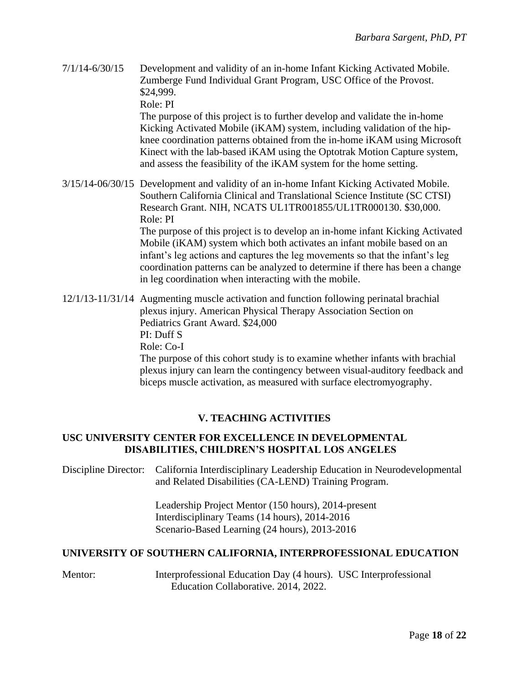7/1/14-6/30/15 Development and validity of an in-home Infant Kicking Activated Mobile. Zumberge Fund Individual Grant Program, USC Office of the Provost. \$24,999.

Role: PI

The purpose of this project is to further develop and validate the in-home Kicking Activated Mobile (iKAM) system, including validation of the hipknee coordination patterns obtained from the in-home iKAM using Microsoft Kinect with the lab-based iKAM using the Optotrak Motion Capture system, and assess the feasibility of the iKAM system for the home setting.

3/15/14-06/30/15 Development and validity of an in-home Infant Kicking Activated Mobile. Southern California Clinical and Translational Science Institute (SC CTSI) Research Grant. NIH, NCATS UL1TR001855/UL1TR000130. \$30,000. Role: PI

> The purpose of this project is to develop an in-home infant Kicking Activated Mobile (iKAM) system which both activates an infant mobile based on an infant's leg actions and captures the leg movements so that the infant's leg coordination patterns can be analyzed to determine if there has been a change in leg coordination when interacting with the mobile.

12/1/13-11/31/14 Augmenting muscle activation and function following perinatal brachial plexus injury. American Physical Therapy Association Section on Pediatrics Grant Award. \$24,000 PI: Duff S Role: Co-I The purpose of this cohort study is to examine whether infants with brachial

plexus injury can learn the contingency between visual-auditory feedback and biceps muscle activation, as measured with surface electromyography.

# **V. TEACHING ACTIVITIES**

# **USC UNIVERSITY CENTER FOR EXCELLENCE IN DEVELOPMENTAL DISABILITIES, CHILDREN'S HOSPITAL LOS ANGELES**

Discipline Director: California Interdisciplinary Leadership Education in Neurodevelopmental and Related Disabilities (CA-LEND) Training Program.

> Leadership Project Mentor (150 hours), 2014-present Interdisciplinary Teams (14 hours), 2014-2016 Scenario-Based Learning (24 hours), 2013-2016

# **UNIVERSITY OF SOUTHERN CALIFORNIA, INTERPROFESSIONAL EDUCATION**

Mentor: Interprofessional Education Day (4 hours). USC Interprofessional Education Collaborative. 2014, 2022.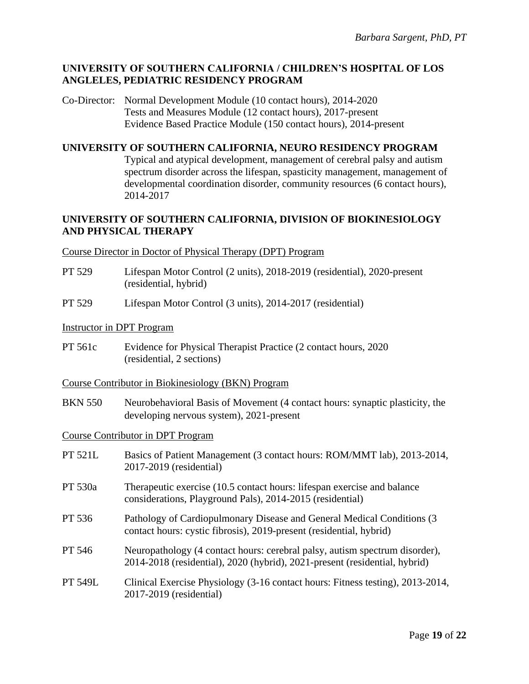## **UNIVERSITY OF SOUTHERN CALIFORNIA / CHILDREN'S HOSPITAL OF LOS ANGLELES, PEDIATRIC RESIDENCY PROGRAM**

Co-Director: Normal Development Module (10 contact hours), 2014-2020 Tests and Measures Module (12 contact hours), 2017-present Evidence Based Practice Module (150 contact hours), 2014-present

#### **UNIVERSITY OF SOUTHERN CALIFORNIA, NEURO RESIDENCY PROGRAM**

Typical and atypical development, management of cerebral palsy and autism spectrum disorder across the lifespan, spasticity management, management of developmental coordination disorder, community resources (6 contact hours), 2014-2017

## **UNIVERSITY OF SOUTHERN CALIFORNIA, DIVISION OF BIOKINESIOLOGY AND PHYSICAL THERAPY**

#### Course Director in Doctor of Physical Therapy (DPT) Program

- PT 529 Lifespan Motor Control (2 units), 2018-2019 (residential), 2020-present (residential, hybrid)
- PT 529 Lifespan Motor Control (3 units), 2014-2017 (residential)

#### Instructor in DPT Program

- PT 561c Evidence for Physical Therapist Practice (2 contact hours, 2020 (residential, 2 sections)
- Course Contributor in Biokinesiology (BKN) Program
- BKN 550 Neurobehavioral Basis of Movement (4 contact hours: synaptic plasticity, the developing nervous system), 2021-present

#### Course Contributor in DPT Program

| Basics of Patient Management (3 contact hours: ROM/MMT lab), 2013-2014,<br>2017-2019 (residential)                                                        |
|-----------------------------------------------------------------------------------------------------------------------------------------------------------|
| Therapeutic exercise (10.5 contact hours: lifespan exercise and balance<br>considerations, Playground Pals), 2014-2015 (residential)                      |
| Pathology of Cardiopulmonary Disease and General Medical Conditions (3)<br>contact hours: cystic fibrosis), 2019-present (residential, hybrid)            |
| Neuropathology (4 contact hours: cerebral palsy, autism spectrum disorder),<br>2014-2018 (residential), 2020 (hybrid), 2021-present (residential, hybrid) |
| Clinical Exercise Physiology (3-16 contact hours: Fitness testing), 2013-2014,<br>2017-2019 (residential)                                                 |
|                                                                                                                                                           |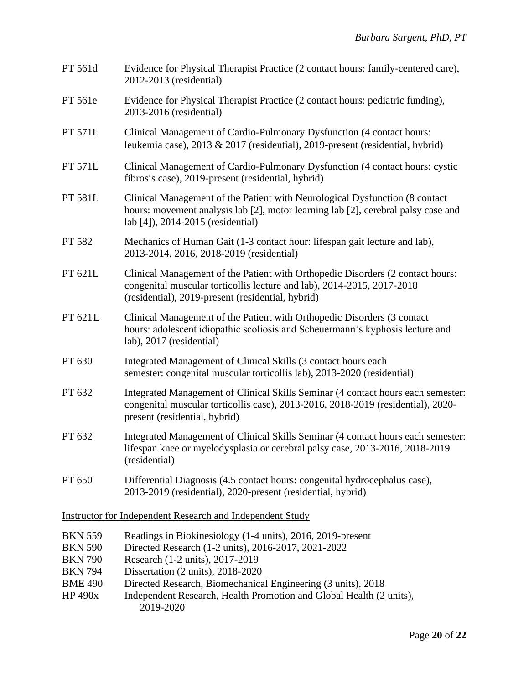| PT 561d                                                              | Evidence for Physical Therapist Practice (2 contact hours: family-centered care),<br>2012-2013 (residential)                                                                                                  |  |
|----------------------------------------------------------------------|---------------------------------------------------------------------------------------------------------------------------------------------------------------------------------------------------------------|--|
| PT 561e                                                              | Evidence for Physical Therapist Practice (2 contact hours: pediatric funding),<br>2013-2016 (residential)                                                                                                     |  |
| PT 571L                                                              | Clinical Management of Cardio-Pulmonary Dysfunction (4 contact hours:<br>leukemia case), 2013 & 2017 (residential), 2019-present (residential, hybrid)                                                        |  |
| PT 571L                                                              | Clinical Management of Cardio-Pulmonary Dysfunction (4 contact hours: cystic<br>fibrosis case), 2019-present (residential, hybrid)                                                                            |  |
| PT 581L                                                              | Clinical Management of the Patient with Neurological Dysfunction (8 contact<br>hours: movement analysis lab [2], motor learning lab [2], cerebral palsy case and<br>lab [4]), 2014-2015 (residential)         |  |
| PT 582                                                               | Mechanics of Human Gait (1-3 contact hour: lifespan gait lecture and lab),<br>2013-2014, 2016, 2018-2019 (residential)                                                                                        |  |
| PT 621L                                                              | Clinical Management of the Patient with Orthopedic Disorders (2 contact hours:<br>congenital muscular torticollis lecture and lab), 2014-2015, 2017-2018<br>(residential), 2019-present (residential, hybrid) |  |
| PT 621L                                                              | Clinical Management of the Patient with Orthopedic Disorders (3 contact<br>hours: adolescent idiopathic scoliosis and Scheuermann's kyphosis lecture and<br>lab), 2017 (residential)                          |  |
| PT 630                                                               | Integrated Management of Clinical Skills (3 contact hours each<br>semester: congenital muscular torticollis lab), 2013-2020 (residential)                                                                     |  |
| PT 632                                                               | Integrated Management of Clinical Skills Seminar (4 contact hours each semester:<br>congenital muscular torticollis case), 2013-2016, 2018-2019 (residential), 2020-<br>present (residential, hybrid)         |  |
| PT 632                                                               | Integrated Management of Clinical Skills Seminar (4 contact hours each semester:<br>lifespan knee or myelodysplasia or cerebral palsy case, 2013-2016, 2018-2019<br>(residential)                             |  |
| PT 650                                                               | Differential Diagnosis (4.5 contact hours: congenital hydrocephalus case),<br>2013-2019 (residential), 2020-present (residential, hybrid)                                                                     |  |
| <b>Instructor for Independent Research and Independent Study</b>     |                                                                                                                                                                                                               |  |
| <b>BKN 559</b><br><b>BKN 590</b><br><b>BKN 790</b><br><b>BKN 794</b> | Readings in Biokinesiology (1-4 units), 2016, 2019-present<br>Directed Research (1-2 units), 2016-2017, 2021-2022<br>Research (1-2 units), 2017-2019<br>Dissertation (2 units), 2018-2020                     |  |

- BME 490 Directed Research, Biomechanical Engineering (3 units), 2018
- HP 490x Independent Research, Health Promotion and Global Health (2 units), 2019-2020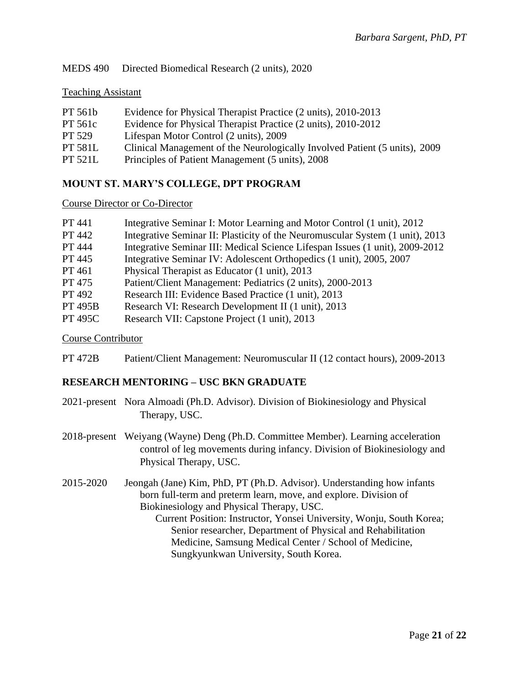# MEDS 490 Directed Biomedical Research (2 units), 2020

#### Teaching Assistant

| PT 561b        | Evidence for Physical Therapist Practice (2 units), 2010-2013              |
|----------------|----------------------------------------------------------------------------|
| <b>PT 561c</b> | Evidence for Physical Therapist Practice (2 units), 2010-2012              |
| PT 529         | Lifespan Motor Control (2 units), 2009                                     |
| <b>PT 581L</b> | Clinical Management of the Neurologically Involved Patient (5 units), 2009 |
| <b>PT 521L</b> | Principles of Patient Management (5 units), 2008                           |
|                |                                                                            |

## **MOUNT ST. MARY'S COLLEGE, DPT PROGRAM**

#### Course Director or Co-Director

| <b>PT</b> 441  | Integrative Seminar I: Motor Learning and Motor Control (1 unit), 2012        |
|----------------|-------------------------------------------------------------------------------|
| PT 442         | Integrative Seminar II: Plasticity of the Neuromuscular System (1 unit), 2013 |
| PT 444         | Integrative Seminar III: Medical Science Lifespan Issues (1 unit), 2009-2012  |
| PT 445         | Integrative Seminar IV: Adolescent Orthopedics (1 unit), 2005, 2007           |
| PT 461         | Physical Therapist as Educator (1 unit), 2013                                 |
| PT 475         | Patient/Client Management: Pediatrics (2 units), 2000-2013                    |
| PT 492         | Research III: Evidence Based Practice (1 unit), 2013                          |
| <b>PT 495B</b> | Research VI: Research Development II (1 unit), 2013                           |
| <b>PT 495C</b> | Research VII: Capstone Project (1 unit), 2013                                 |

#### Course Contributor

PT 472B Patient/Client Management: Neuromuscular II (12 contact hours), 2009-2013

#### **RESEARCH MENTORING – USC BKN GRADUATE**

- 2021-present Nora Almoadi (Ph.D. Advisor). Division of Biokinesiology and Physical Therapy, USC.
- 2018-present Weiyang (Wayne) Deng (Ph.D. Committee Member). Learning acceleration control of leg movements during infancy. Division of Biokinesiology and Physical Therapy, USC.
- 2015-2020 Jeongah (Jane) Kim, PhD, PT (Ph.D. Advisor). Understanding how infants born full-term and preterm learn, move, and explore. Division of Biokinesiology and Physical Therapy, USC.

Current Position: Instructor, Yonsei University, Wonju, South Korea; Senior researcher, Department of Physical and Rehabilitation Medicine, Samsung Medical Center / School of Medicine, Sungkyunkwan University, South Korea.